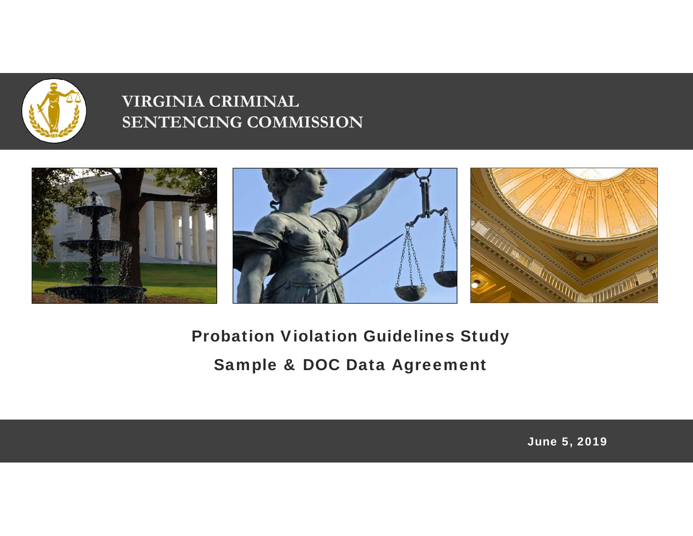

### **VIRGINIA CRIMINAL SENTENCING COMMISSION**



Probation Violation Guidelines Study Sample & DOC Data Agreement

June 5, 2019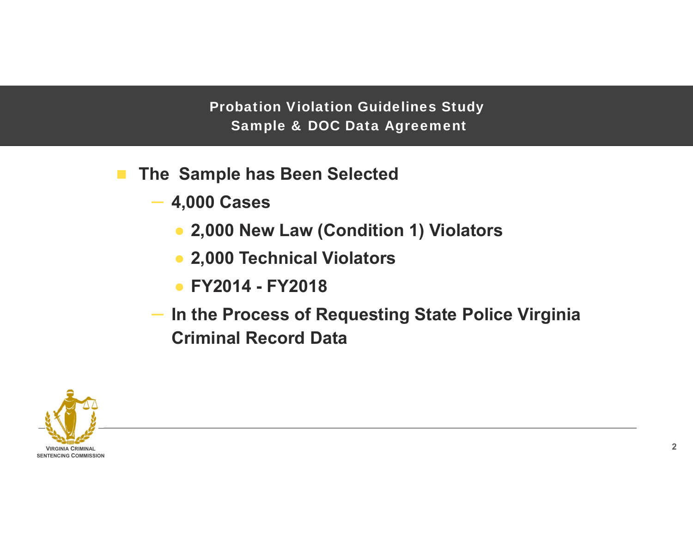Probation Violation Guidelines Study Sample & DOC Data Agreement

- $\mathbf{r}$  **The Sample has Been Selected**
	- ‒ **4,000 Cases**
		- **2,000 New Law (Condition 1) Violators**
		- **2,000 Technical Violators**
		- **FY2014 - FY2018**
	- ‒ **In the Process of Requesting State Police Virginia Criminal Record Data**

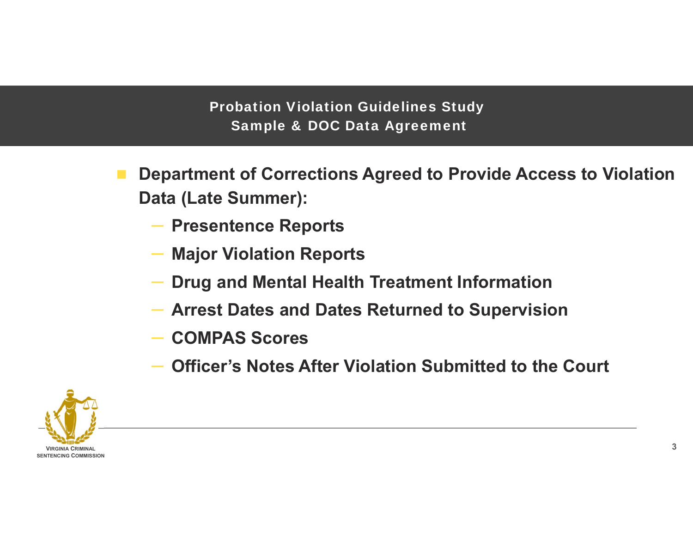Probation Violation Guidelines Study Sample & DOC Data Agreement

- **Department of Corrections Agreed to Provide Access to Violation Data (Late Summer):**
	- ‒ **Presentence Reports**
	- ‒ **Major Violation Reports**
	- **Drug and Mental Health Treatment Information**
	- ‒ **Arrest Dates and Dates Returned to Supervision**
	- ‒ **COMPAS Scores**
	- **Officer's Notes After Violation Submitted to the Court**

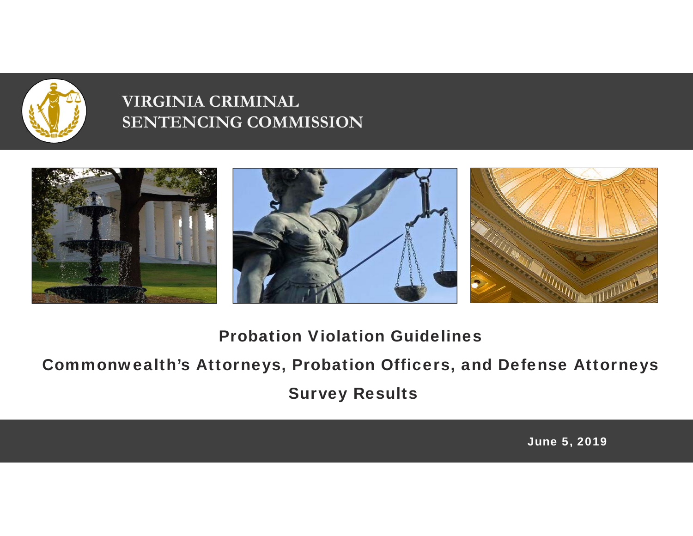

### **VIRGINIA CRIMINAL SENTENCING COMMISSION**



Probation Violation Guidelines

Commonwealth's Attorneys, Probation Officers, and Defense Attorneys Survey Results

June 5, 2019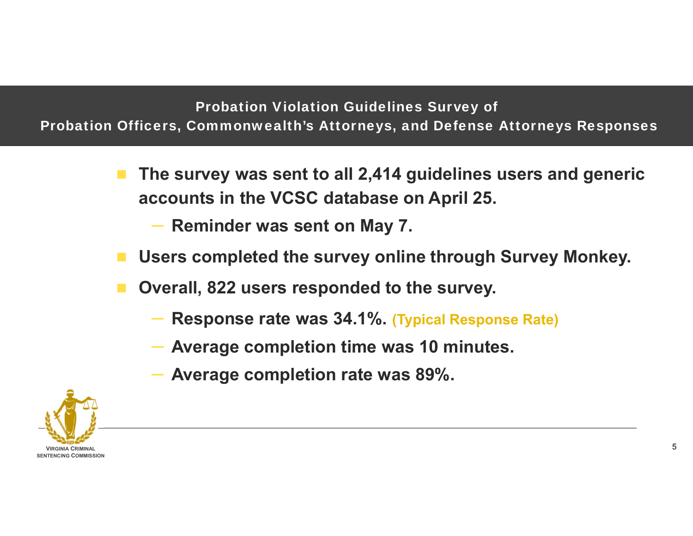#### Probation Violation Guidelines Survey of Probation Officers, Commonwealth's Attorneys, and Defense Attorneys Responses

- **The survey was sent to all 2,414 guidelines users and generic accounts in the VCSC database on April 25.** 
	- ‒ **Reminder was sent on May 7.**
- **Users completed the survey online through Survey Monkey.**
- **Overall, 822 users responded to the survey.**
	- ‒ **Response rate was 34.1%. (Typical Response Rate)**
	- ‒ **Average completion time was 10 minutes.**
	- ‒ **Average completion rate was 89%.**

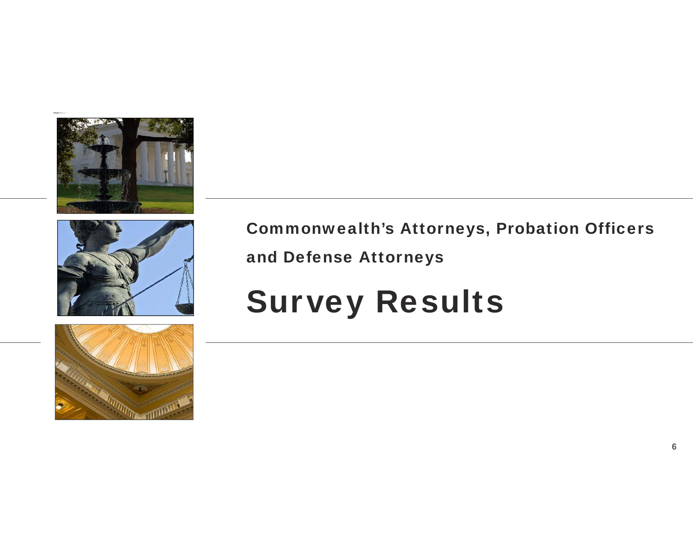





Commonwealth's Attorneys, Probation Officers and Defense Attorneys

# Survey Results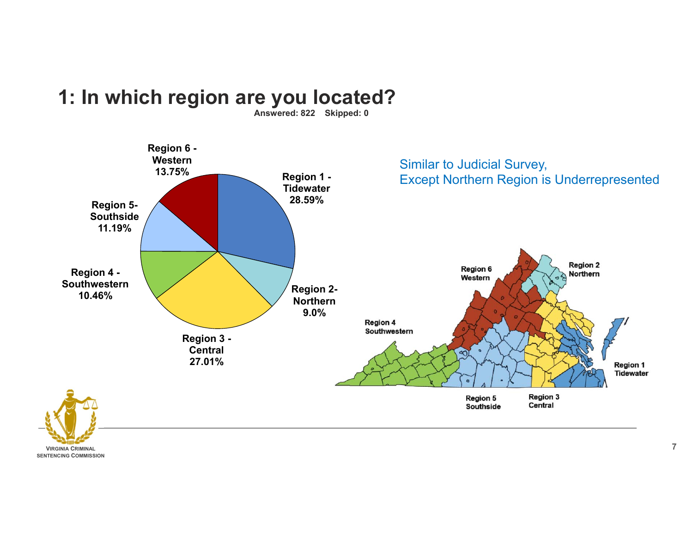

### **1: In which region are you located?**

**Answered: 822 Skipped: 0**

**VIRGINIA CRIMINALSENTENCING COMMISSION**

**7**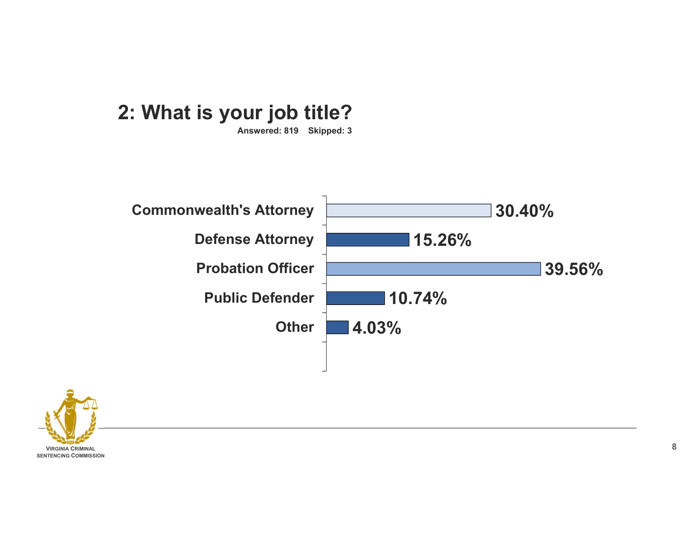## **2: What is your job title?**

**Answered: 819 Skipped: 3**



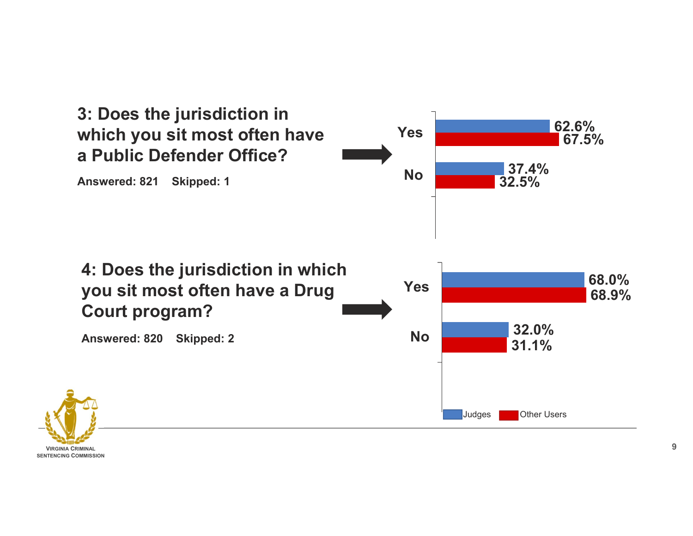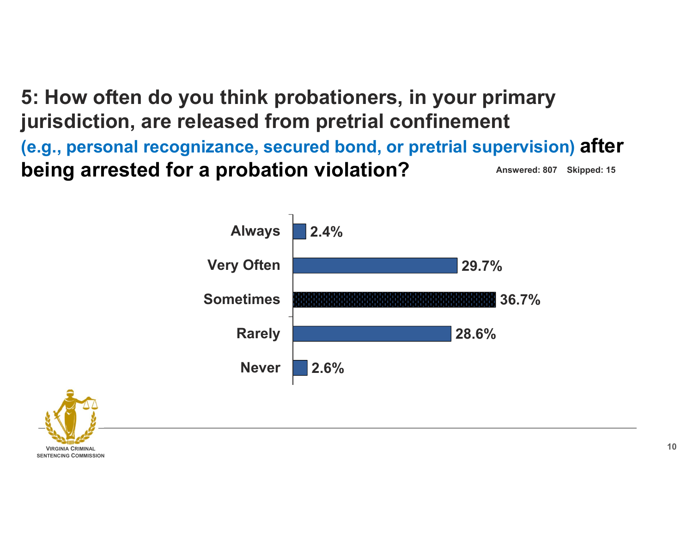**5: How often do you think probationers, in your primary jurisdiction, are released from pretrial confinement (e.g., personal recognizance, secured bond, or pretrial supervision) after being arrested for a probation violation?** Answered: 807 Skipped: 15



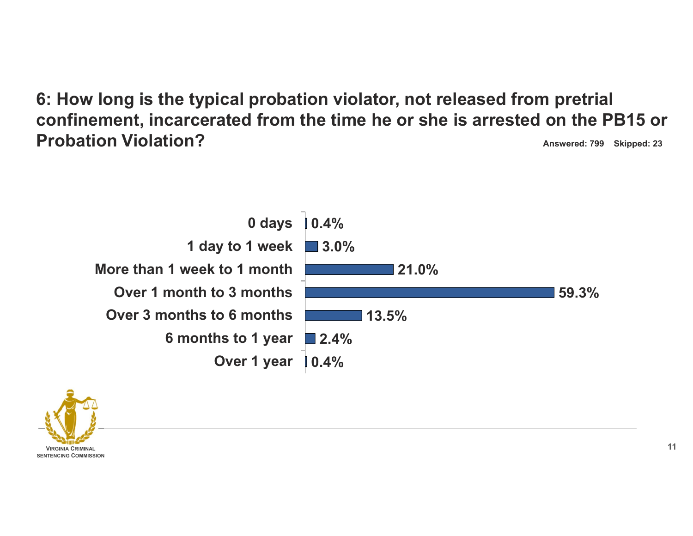**6: How long is the typical probation violator, not released from pretrial confinement, incarcerated from the time he or she is arrested on the PB15 or Probation Violation?Answered: 799 Skipped: 23**





**11**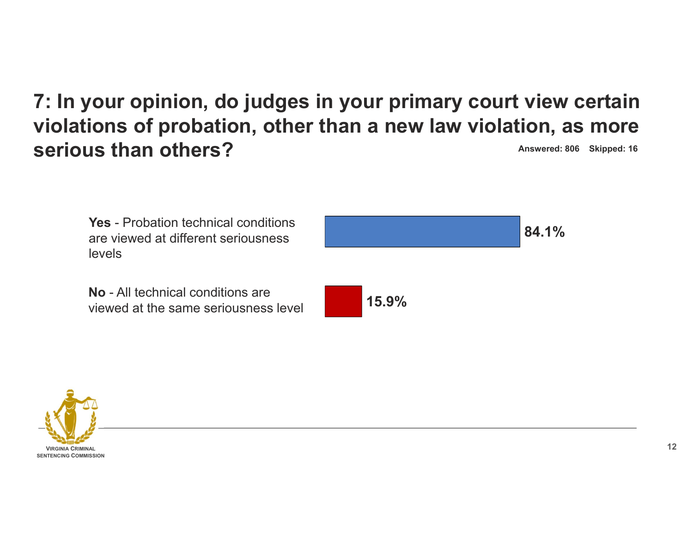#### **7: In your opinion, do judges in your primary court view certain violations of probation, other than a new law violation, as more serious than others?Answered: 806 Skipped: 16**

**Yes** - Probation technical conditions are viewed at different seriousness levels



**No** - All technical conditions are viewed at the same seriousness level



**84.1%**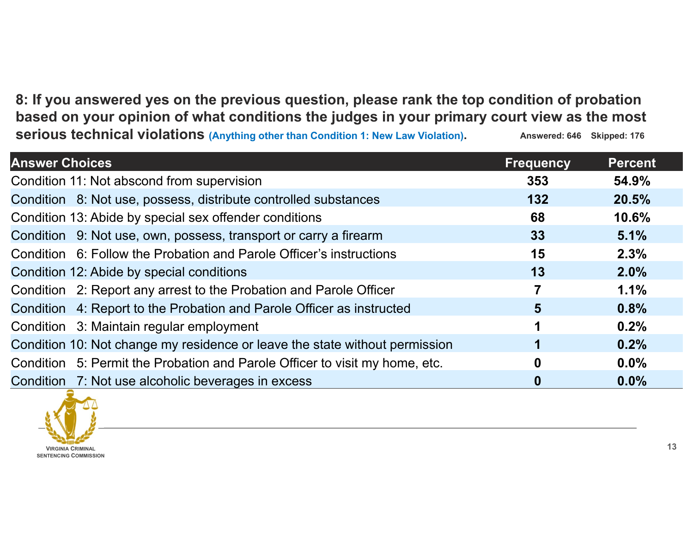**8: If you answered yes on the previous question, please rank the top condition of probation based on your opinion of what conditions the judges in your primary court view as the most serious technical violations (Anything other than Condition 1: New Law Violation).** Answered: 646 Skipped: 176

| <b>Answer Choices</b>                                                       | <b>Frequency</b> | <b>Percent</b> |
|-----------------------------------------------------------------------------|------------------|----------------|
| Condition 11: Not abscond from supervision                                  | 353              | 54.9%          |
| Condition 8: Not use, possess, distribute controlled substances             | 132              | 20.5%          |
| Condition 13: Abide by special sex offender conditions                      | 68               | 10.6%          |
| Condition 9: Not use, own, possess, transport or carry a firearm            | 33               | 5.1%           |
| Condition 6: Follow the Probation and Parole Officer's instructions         | 15               | 2.3%           |
| Condition 12: Abide by special conditions                                   | 13               | 2.0%           |
| Condition 2: Report any arrest to the Probation and Parole Officer          | 7                | 1.1%           |
| Condition 4: Report to the Probation and Parole Officer as instructed       | 5                | 0.8%           |
| Condition 3: Maintain regular employment                                    |                  | 0.2%           |
| Condition 10: Not change my residence or leave the state without permission |                  | 0.2%           |
| Condition 5: Permit the Probation and Parole Officer to visit my home, etc. | 0                | $0.0\%$        |
| Condition 7: Not use alcoholic beverages in excess                          | 0                | $0.0\%$        |

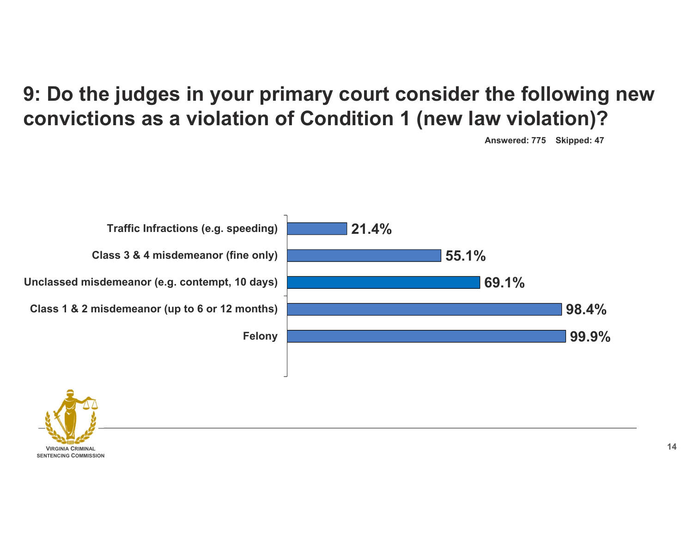# **9: Do the judges in your primary court consider the following new convictions as a violation of Condition 1 (new law violation)?**

**Answered: 775 Skipped: 47**





**14**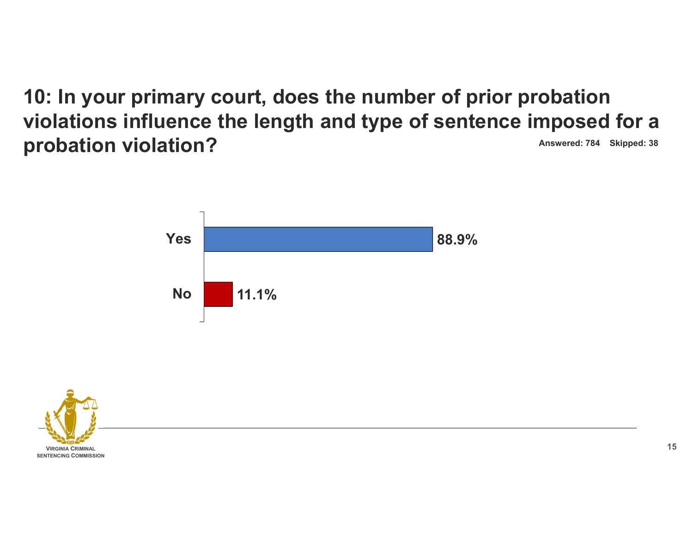**10: In your primary court, does the number of prior probation violations influence the length and type of sentence imposed for a probation violation? Answered: 784 Skipped: 38** 



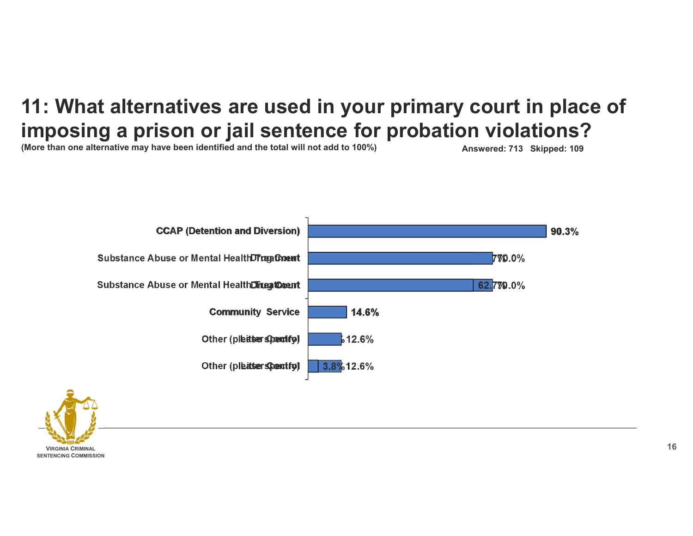# **11: What alternatives are used in your primary court in place of imposing a prison or jail sentence for probation violations?**

**(More than one alternative may have been identified and the total will not add to 100%) Answered: 713 Skipped: 109**



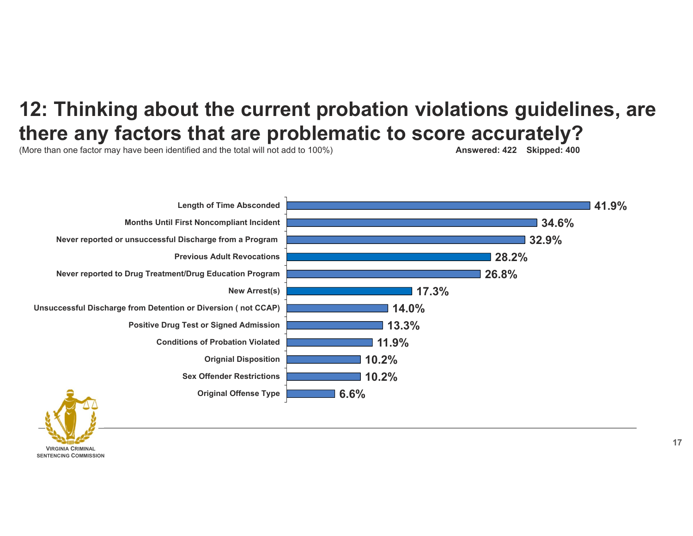## **12: Thinking about the current probation violations guidelines, are there any factors that are problematic to score accurately?**

(More than one factor may have been identified and the total will not add to 100%) **Answered: 422 Skipped: 400**



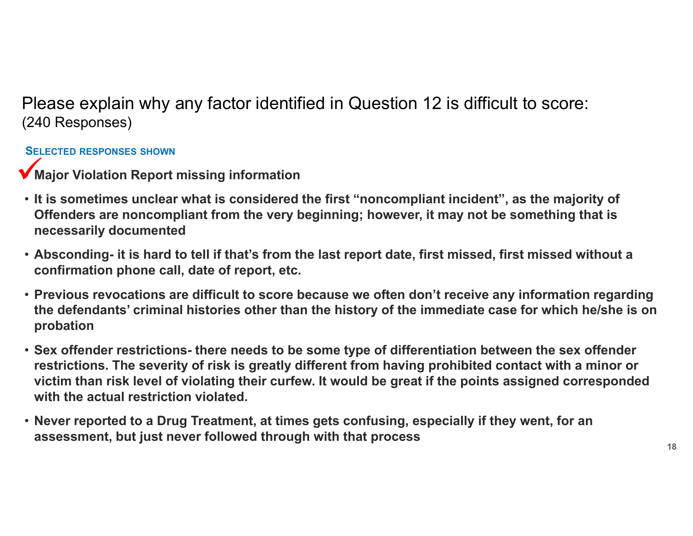Please explain why any factor identified in Question 12 is difficult to score: (240 Responses)

#### **SELECTED RESPONSES SHOWN**

- **Major Violation Report missing information**
- **It is sometimes unclear what is considered the first "noncompliant incident", as the majority of Offenders are noncompliant from the very beginning; however, it may not be something that is necessarily documented**
- **Absconding- it is hard to tell if that's from the last report date, first missed, first missed without a confirmation phone call, date of report, etc.**
- **Previous revocations are difficult to score because we often don't receive any information regarding the defendants' criminal histories other than the history of the immediate case for which he/she is on probation**
- **Sex offender restrictions- there needs to be some type of differentiation between the sex offender restrictions. The severity of risk is greatly different from having prohibited contact with a minor or victim than risk level of violating their curfew. It would be great if the points assigned corresponded with the actual restriction violated.**
- **Never reported to a Drug Treatment, at times gets confusing, especially if they went, for an assessment, but just never followed through with that process**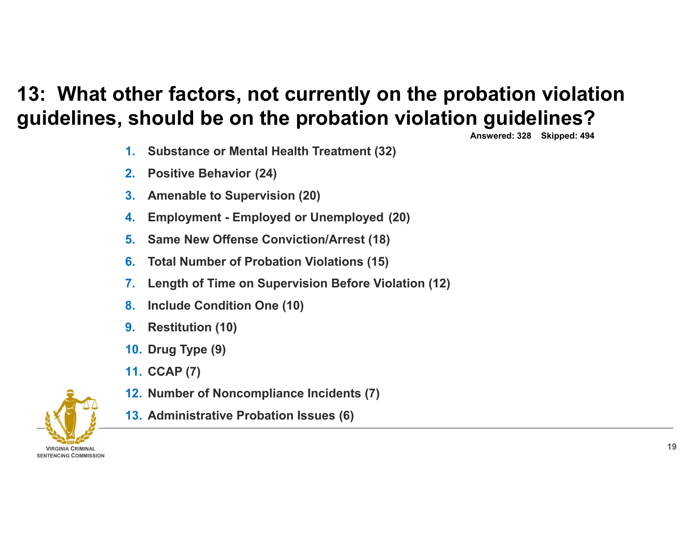# **13: What other factors, not currently on the probation violation guidelines, should be on the probation violation guidelines?**

**Answered: 328 Skipped: 494**

- **1.Substance or Mental Health Treatment (32)**
- **2.Positive Behavior (24)**
- **3.Amenable to Supervision (20)**
- **4.Employment - Employed or Unemployed (20)**
- **5.Same New Offense Conviction/Arrest (18)**
- **6.Total Number of Probation Violations (15)**
- **7.Length of Time on Supervision Before Violation (12)**
- **8.Include Condition One (10)**
- **9.Restitution (10)**
- **10. Drug Type (9)**
- **11. CCAP (7)**
- **12. Number of Noncompliance Incidents (7)**
- **13. Administrative Probation Issues (6)**

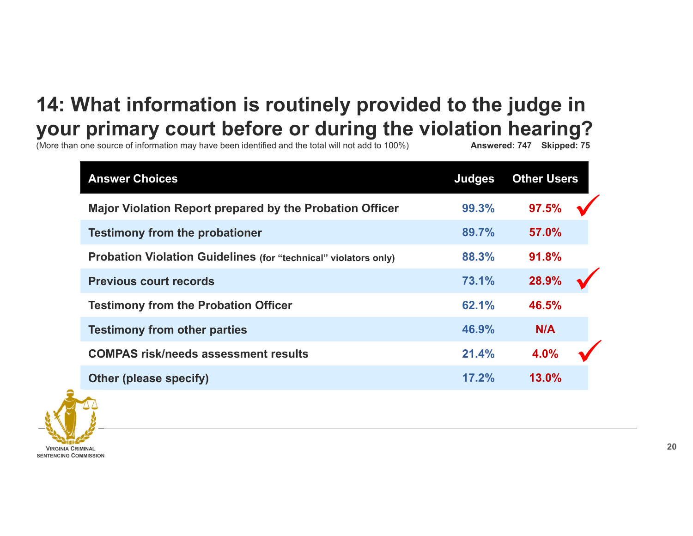# **14: What information is routinely provided to the judge in your primary court before or during the violation hearing?**<br>
More than one source of information may have been identified and the total will not add to 100%) **Answered: 747** Skipped: 75

(More than one source of information may have been identified and the total will not add to 100%)

| <b>Answer Choices</b>                                           | <b>Judges</b> | <b>Other Users</b> |
|-----------------------------------------------------------------|---------------|--------------------|
| Major Violation Report prepared by the Probation Officer        | 99.3%         | 97.5%              |
| <b>Testimony from the probationer</b>                           | 89.7%         | 57.0%              |
| Probation Violation Guidelines (for "technical" violators only) | 88.3%         | 91.8%              |
| <b>Previous court records</b>                                   | 73.1%         | 28.9%              |
| <b>Testimony from the Probation Officer</b>                     | 62.1%         | 46.5%              |
| <b>Testimony from other parties</b>                             | 46.9%         | N/A                |
| <b>COMPAS risk/needs assessment results</b>                     | 21.4%         | 4.0%               |
| <b>Other (please specify)</b>                                   | 17.2%         | 13.0%              |

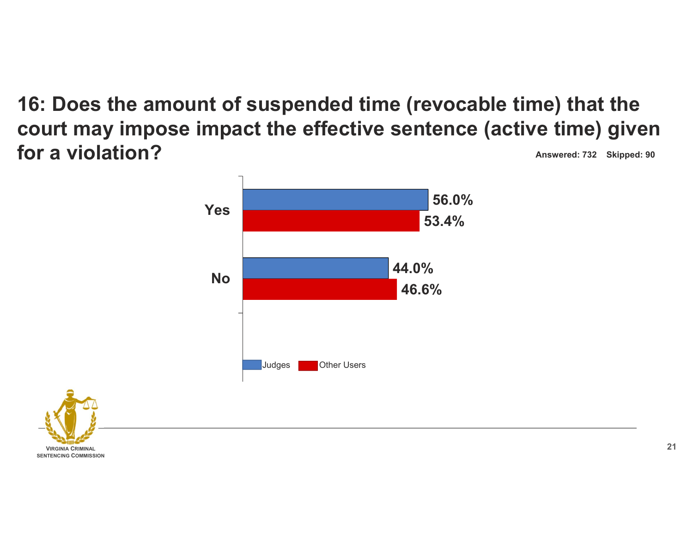**16: Does the amount of suspended time (revocable time) that the court may impose impact the effective sentence (active time) given for a violation?Answered: 732 Skipped: 90**



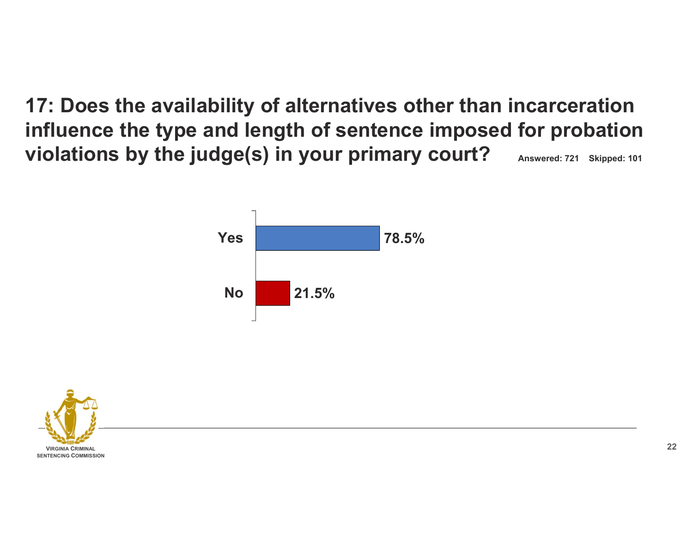**17: Does the availability of alternatives other than incarceration influence the type and length of sentence imposed for probation violations by the judge(s) in your primary court? Answered: 721 Skipped: 101**



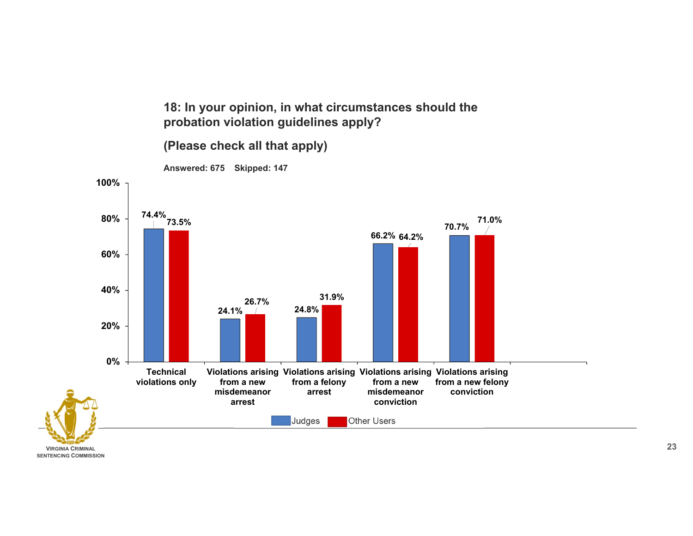**18: In your opinion, in what circumstances should the probation violation guidelines apply?** 

#### **(Please check all that apply)**



**VIRGINIA CRIMINALSENTENCING COMMISSION**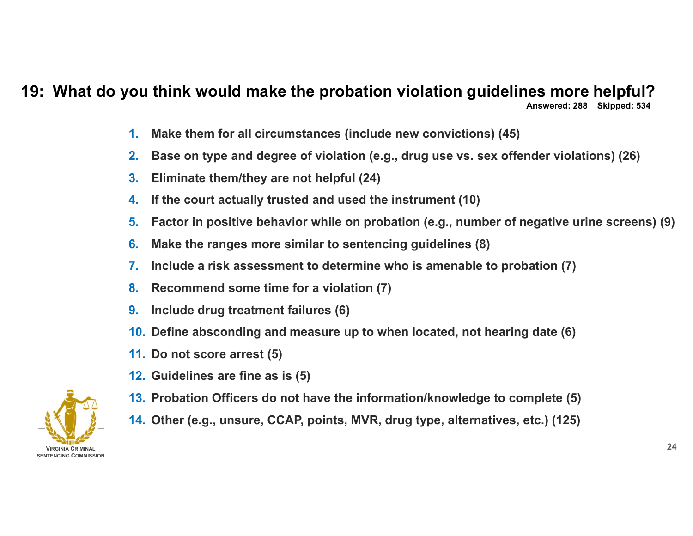#### **19: What do you think would make the probation violation guidelines more helpful?**

**Answered: 288 Skipped: 534**

- **1.Make them for all circumstances (include new convictions) (45)**
- **2.Base on type and degree of violation (e.g., drug use vs. sex offender violations) (26)**
- **3.Eliminate them/they are not helpful (24)**
- **4.If the court actually trusted and used the instrument (10)**
- **5.Factor in positive behavior while on probation (e.g., number of negative urine screens) (9)**
- **6.Make the ranges more similar to sentencing guidelines (8)**
- **7.Include a risk assessment to determine who is amenable to probation (7)**
- **8.Recommend some time for a violation (7)**
- **9.Include drug treatment failures (6)**
- **10. Define absconding and measure up to when located, not hearing date (6)**
- **11. Do not score arrest (5)**
- **12. Guidelines are fine as is (5)**
- **13. Probation Officers do not have the information/knowledge to complete (5)**
- **14. Other (e.g., unsure, CCAP, points, MVR, drug type, alternatives, etc.) (125)**